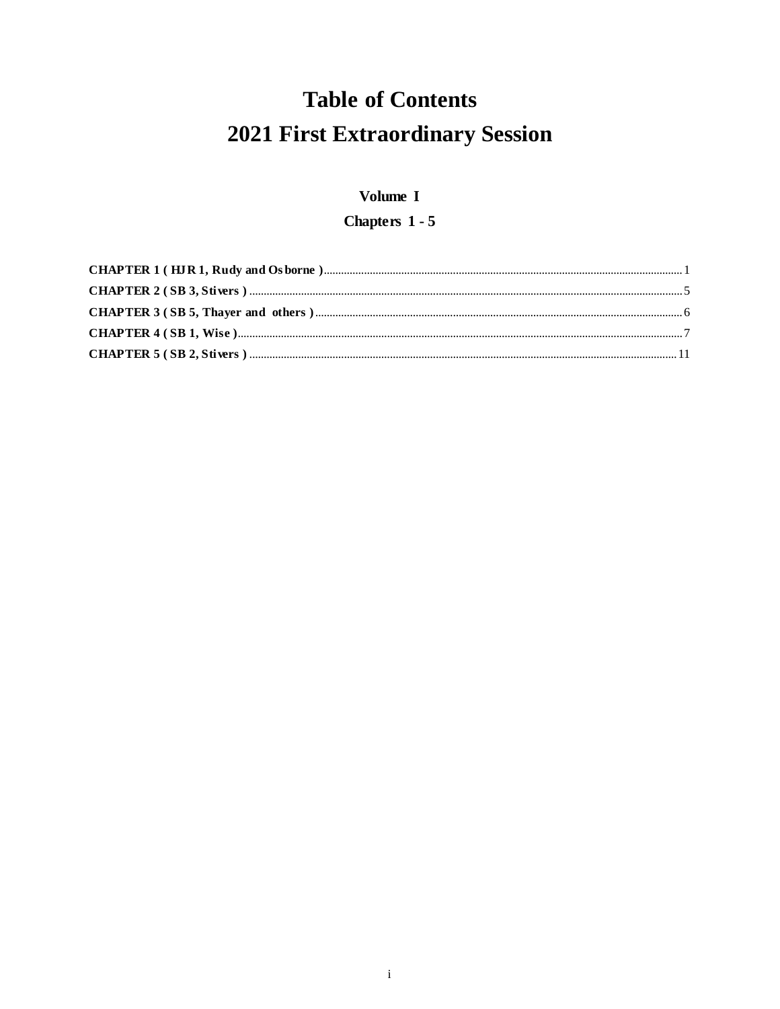# **Table of Contents** 2021 First Extraordinary Session

## Volume I

# Chapters 1 - 5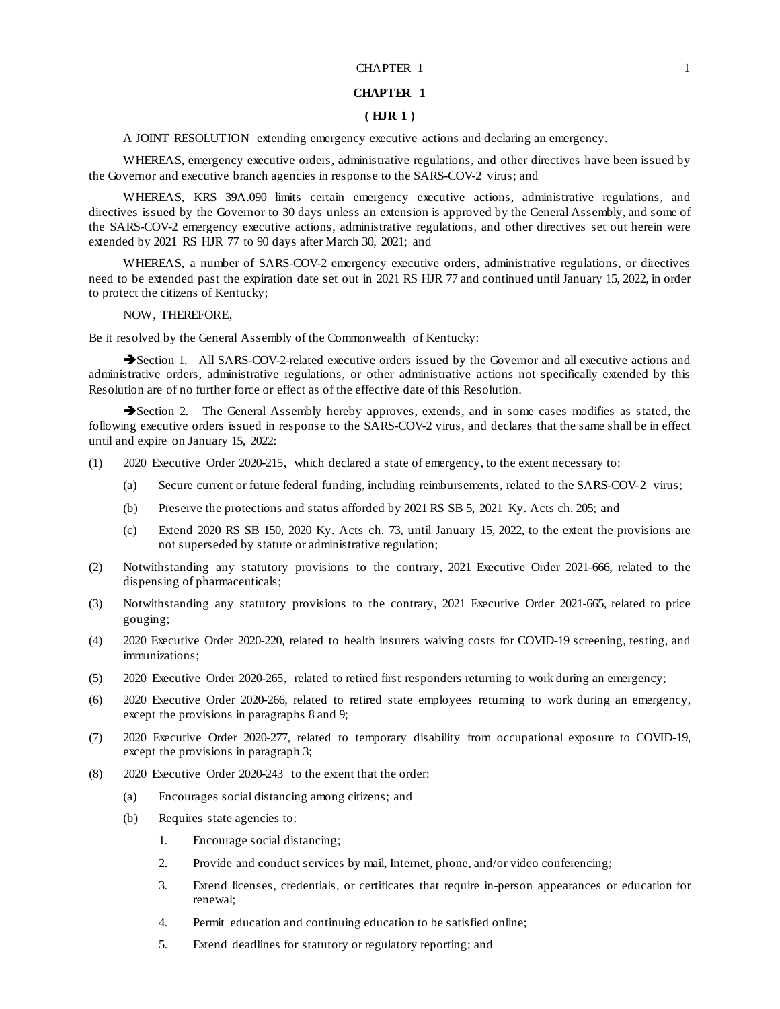#### CHAPTER 1 1

## **CHAPTER 1**

## **( HJR 1 )**

A JOINT RESOLUTION extending emergency executive actions and declaring an emergency.

WHEREAS, emergency executive orders, administrative regulations, and other directives have been issued by the Governor and executive branch agencies in response to the SARS-COV-2 virus; and

WHEREAS, KRS 39A.090 limits certain emergency executive actions, administrative regulations, and directives issued by the Governor to 30 days unless an extension is approved by the General Assembly, and some of the SARS-COV-2 emergency executive actions, administrative regulations, and other directives set out herein were extended by 2021 RS HJR 77 to 90 days after March 30, 2021; and

WHEREAS, a number of SARS-COV-2 emergency executive orders, administrative regulations, or directives need to be extended past the expiration date set out in 2021 RS HJR 77 and continued until January 15, 2022, in order to protect the citizens of Kentucky;

## NOW, THEREFORE,

Be it resolved by the General Assembly of the Commonwealth of Kentucky:

Section 1. All SARS-COV-2-related executive orders issued by the Governor and all executive actions and administrative orders, administrative regulations, or other administrative actions not specifically extended by this Resolution are of no further force or effect as of the effective date of this Resolution.

Section 2. The General Assembly hereby approves, extends, and in some cases modifies as stated, the following executive orders issued in response to the SARS-COV-2 virus, and declares that the same shall be in effect until and expire on January 15, 2022:

- (1) 2020 Executive Order 2020-215, which declared a state of emergency, to the extent necessary to:
	- (a) Secure current or future federal funding, including reimbursements, related to the SARS-COV-2 virus;
	- (b) Preserve the protections and status afforded by 2021 RS SB 5, 2021 Ky. Acts ch. 205; and
	- (c) Extend 2020 RS SB 150, 2020 Ky. Acts ch. 73, until January 15, 2022, to the extent the provisions are not superseded by statute or administrative regulation;
- (2) Notwithstanding any statutory provisions to the contrary, 2021 Executive Order 2021-666, related to the dispensing of pharmaceuticals;
- (3) Notwithstanding any statutory provisions to the contrary, 2021 Executive Order 2021-665, related to price gouging;
- (4) 2020 Executive Order 2020-220, related to health insurers waiving costs for COVID-19 screening, testing, and immunizations;
- (5) 2020 Executive Order 2020-265, related to retired first responders returning to work during an emergency;
- (6) 2020 Executive Order 2020-266, related to retired state employees returning to work during an emergency, except the provisions in paragraphs 8 and 9;
- (7) 2020 Executive Order 2020-277, related to temporary disability from occupational exposure to COVID-19, except the provisions in paragraph 3;
- (8) 2020 Executive Order 2020-243 to the extent that the order:
	- (a) Encourages social distancing among citizens; and
	- (b) Requires state agencies to:
		- 1. Encourage social distancing;
		- 2. Provide and conduct services by mail, Internet, phone, and/or video conferencing;
		- 3. Extend licenses, credentials, or certificates that require in-person appearances or education for renewal;
		- 4. Permit education and continuing education to be satisfied online;
		- 5. Extend deadlines for statutory or regulatory reporting; and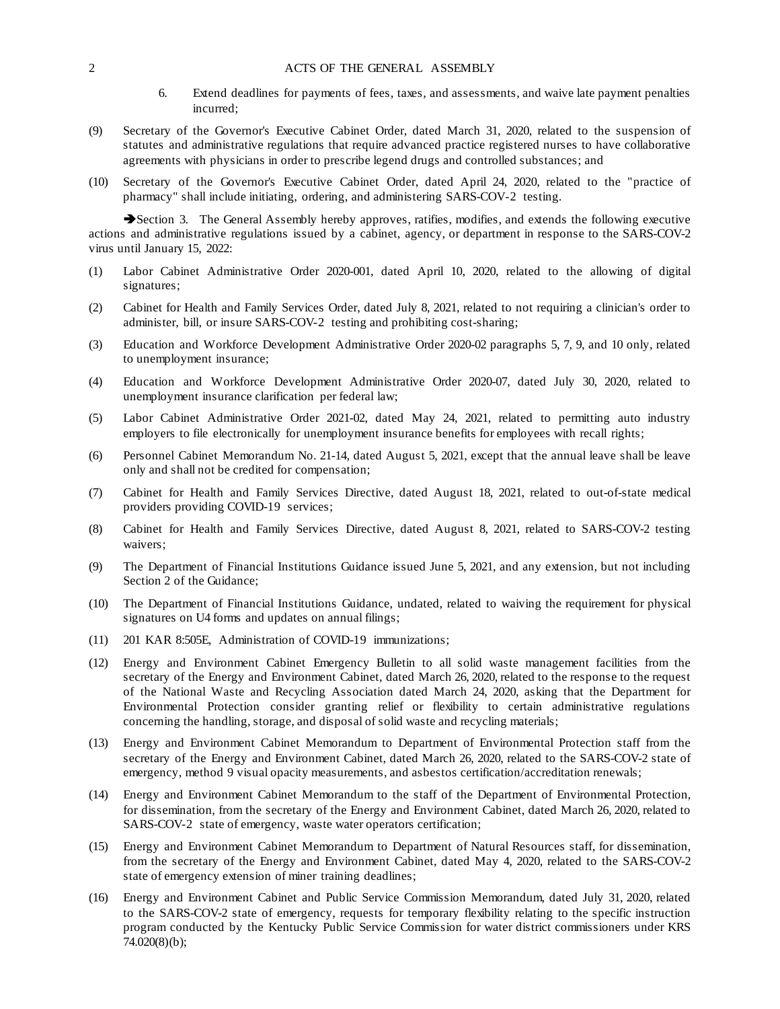- 6. Extend deadlines for payments of fees, taxes, and assessments, and waive late payment penalties incurred;
- (9) Secretary of the Governor's Executive Cabinet Order, dated March 31, 2020, related to the suspension of statutes and administrative regulations that require advanced practice registered nurses to have collaborative agreements with physicians in order to prescribe legend drugs and controlled substances; and
- (10) Secretary of the Governor's Executive Cabinet Order, dated April 24, 2020, related to the "practice of pharmacy" shall include initiating, ordering, and administering SARS-COV-2 testing.

Section 3. The General Assembly hereby approves, ratifies, modifies, and extends the following executive actions and administrative regulations issued by a cabinet, agency, or department in response to the SARS-COV-2 virus until January 15, 2022:

- (1) Labor Cabinet Administrative Order 2020-001, dated April 10, 2020, related to the allowing of digital signatures;
- (2) Cabinet for Health and Family Services Order, dated July 8, 2021, related to not requiring a clinician's order to administer, bill, or insure SARS-COV-2 testing and prohibiting cost-sharing;
- (3) Education and Workforce Development Administrative Order 2020-02 paragraphs 5, 7, 9, and 10 only, related to unemployment insurance;
- (4) Education and Workforce Development Administrative Order 2020-07, dated July 30, 2020, related to unemployment insurance clarification per federal law;
- (5) Labor Cabinet Administrative Order 2021-02, dated May 24, 2021, related to permitting auto industry employers to file electronically for unemployment insurance benefits for employees with recall rights;
- (6) Personnel Cabinet Memorandum No. 21-14, dated August 5, 2021, except that the annual leave shall be leave only and shall not be credited for compensation;
- (7) Cabinet for Health and Family Services Directive, dated August 18, 2021, related to out-of-state medical providers providing COVID-19 services;
- (8) Cabinet for Health and Family Services Directive, dated August 8, 2021, related to SARS-COV-2 testing waivers;
- (9) The Department of Financial Institutions Guidance issued June 5, 2021, and any extension, but not including Section 2 of the Guidance;
- (10) The Department of Financial Institutions Guidance, undated, related to waiving the requirement for physical signatures on U4 forms and updates on annual filings;
- (11) 201 KAR 8:505E, Administration of COVID-19 immunizations;
- (12) Energy and Environment Cabinet Emergency Bulletin to all solid waste management facilities from the secretary of the Energy and Environment Cabinet, dated March 26, 2020, related to the response to the request of the National Waste and Recycling Association dated March 24, 2020, asking that the Department for Environmental Protection consider granting relief or flexibility to certain administrative regulations concerning the handling, storage, and disposal of solid waste and recycling materials;
- (13) Energy and Environment Cabinet Memorandum to Department of Environmental Protection staff from the secretary of the Energy and Environment Cabinet, dated March 26, 2020, related to the SARS-COV-2 state of emergency, method 9 visual opacity measurements, and asbestos certification/accreditation renewals;
- (14) Energy and Environment Cabinet Memorandum to the staff of the Department of Environmental Protection, for dissemination, from the secretary of the Energy and Environment Cabinet, dated March 26, 2020, related to SARS-COV-2 state of emergency, waste water operators certification;
- (15) Energy and Environment Cabinet Memorandum to Department of Natural Resources staff, for dissemination, from the secretary of the Energy and Environment Cabinet, dated May 4, 2020, related to the SARS-COV-2 state of emergency extension of miner training deadlines;
- (16) Energy and Environment Cabinet and Public Service Commission Memorandum, dated July 31, 2020, related to the SARS-COV-2 state of emergency, requests for temporary flexibility relating to the specific instruction program conducted by the Kentucky Public Service Commission for water district commissioners under KRS 74.020(8)(b);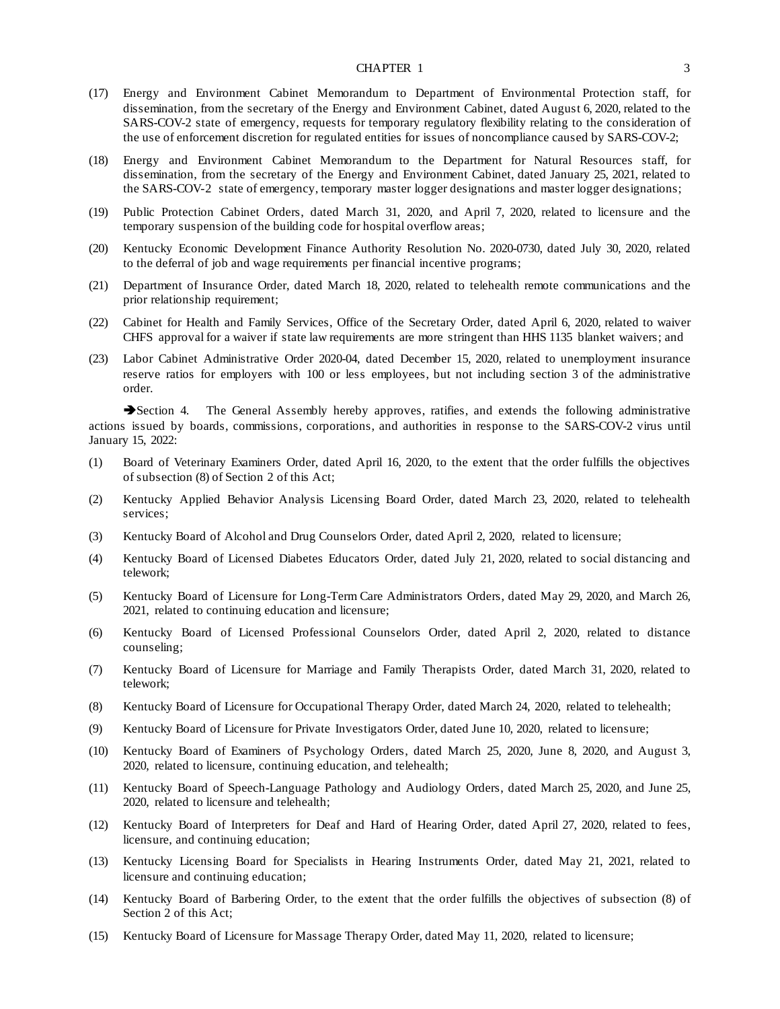#### CHAPTER 1 3

- (17) Energy and Environment Cabinet Memorandum to Department of Environmental Protection staff, for dissemination, from the secretary of the Energy and Environment Cabinet, dated August 6, 2020, related to the SARS-COV-2 state of emergency, requests for temporary regulatory flexibility relating to the consideration of the use of enforcement discretion for regulated entities for issues of noncompliance caused by SARS-COV-2;
- (18) Energy and Environment Cabinet Memorandum to the Department for Natural Resources staff, for dissemination, from the secretary of the Energy and Environment Cabinet, dated January 25, 2021, related to the SARS-COV-2 state of emergency, temporary master logger designations and master logger designations;
- (19) Public Protection Cabinet Orders, dated March 31, 2020, and April 7, 2020, related to licensure and the temporary suspension of the building code for hospital overflow areas;
- (20) Kentucky Economic Development Finance Authority Resolution No. 2020-0730, dated July 30, 2020, related to the deferral of job and wage requirements per financial incentive programs;
- (21) Department of Insurance Order, dated March 18, 2020, related to telehealth remote communications and the prior relationship requirement;
- (22) Cabinet for Health and Family Services, Office of the Secretary Order, dated April 6, 2020, related to waiver CHFS approval for a waiver if state law requirements are more stringent than HHS 1135 blanket waivers; and
- (23) Labor Cabinet Administrative Order 2020-04, dated December 15, 2020, related to unemployment insurance reserve ratios for employers with 100 or less employees, but not including section 3 of the administrative order.

Section 4. The General Assembly hereby approves, ratifies, and extends the following administrative actions issued by boards, commissions, corporations, and authorities in response to the SARS-COV-2 virus until January 15, 2022:

- (1) Board of Veterinary Examiners Order, dated April 16, 2020, to the extent that the order fulfills the objectives of subsection (8) of Section 2 of this Act;
- (2) Kentucky Applied Behavior Analysis Licensing Board Order, dated March 23, 2020, related to telehealth services;
- (3) Kentucky Board of Alcohol and Drug Counselors Order, dated April 2, 2020, related to licensure;
- (4) Kentucky Board of Licensed Diabetes Educators Order, dated July 21, 2020, related to social distancing and telework;
- (5) Kentucky Board of Licensure for Long-Term Care Administrators Orders, dated May 29, 2020, and March 26, 2021, related to continuing education and licensure;
- (6) Kentucky Board of Licensed Professional Counselors Order, dated April 2, 2020, related to distance counseling;
- (7) Kentucky Board of Licensure for Marriage and Family Therapists Order, dated March 31, 2020, related to telework;
- (8) Kentucky Board of Licensure for Occupational Therapy Order, dated March 24, 2020, related to telehealth;
- (9) Kentucky Board of Licensure for Private Investigators Order, dated June 10, 2020, related to licensure;
- (10) Kentucky Board of Examiners of Psychology Orders, dated March 25, 2020, June 8, 2020, and August 3, 2020, related to licensure, continuing education, and telehealth;
- (11) Kentucky Board of Speech-Language Pathology and Audiology Orders, dated March 25, 2020, and June 25, 2020, related to licensure and telehealth;
- (12) Kentucky Board of Interpreters for Deaf and Hard of Hearing Order, dated April 27, 2020, related to fees, licensure, and continuing education;
- (13) Kentucky Licensing Board for Specialists in Hearing Instruments Order, dated May 21, 2021, related to licensure and continuing education;
- (14) Kentucky Board of Barbering Order, to the extent that the order fulfills the objectives of subsection (8) of Section 2 of this Act;
- (15) Kentucky Board of Licensure for Massage Therapy Order, dated May 11, 2020, related to licensure;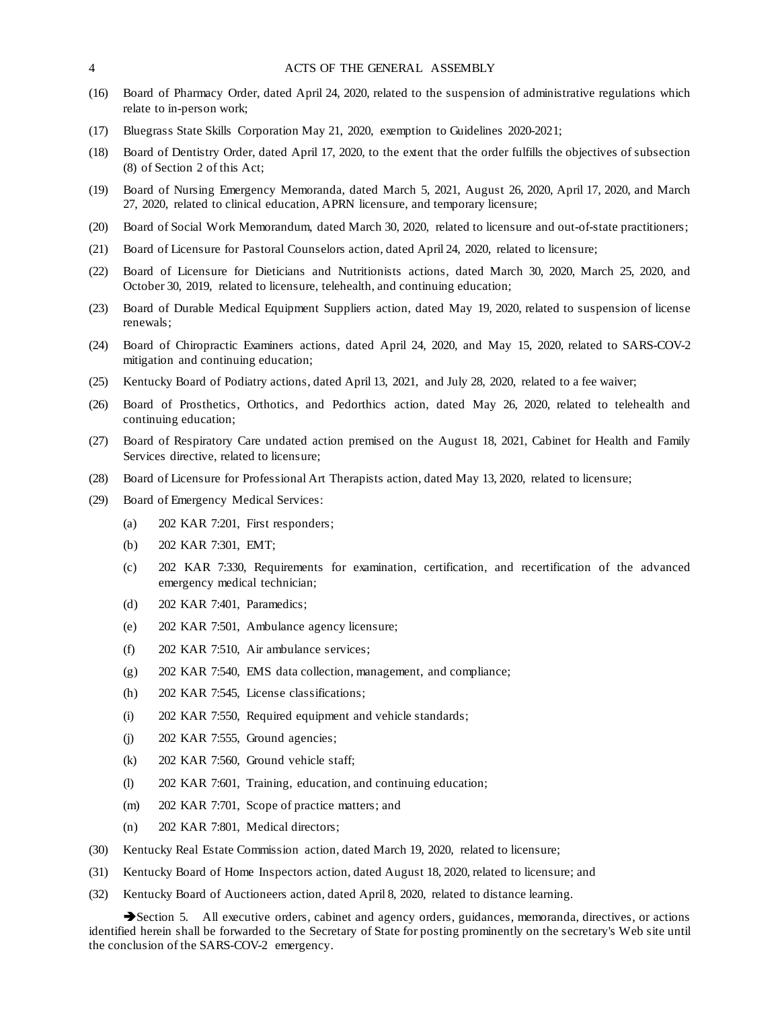- (16) Board of Pharmacy Order, dated April 24, 2020, related to the suspension of administrative regulations which relate to in-person work;
- (17) Bluegrass State Skills Corporation May 21, 2020, exemption to Guidelines 2020-2021;
- (18) Board of Dentistry Order, dated April 17, 2020, to the extent that the order fulfills the objectives of subsection (8) of Section 2 of this Act;
- (19) Board of Nursing Emergency Memoranda, dated March 5, 2021, August 26, 2020, April 17, 2020, and March 27, 2020, related to clinical education, APRN licensure, and temporary licensure;
- (20) Board of Social Work Memorandum, dated March 30, 2020, related to licensure and out-of-state practitioners;
- (21) Board of Licensure for Pastoral Counselors action, dated April 24, 2020, related to licensure;
- (22) Board of Licensure for Dieticians and Nutritionists actions, dated March 30, 2020, March 25, 2020, and October 30, 2019, related to licensure, telehealth, and continuing education;
- (23) Board of Durable Medical Equipment Suppliers action, dated May 19, 2020, related to suspension of license renewals;
- (24) Board of Chiropractic Examiners actions, dated April 24, 2020, and May 15, 2020, related to SARS-COV-2 mitigation and continuing education;
- (25) Kentucky Board of Podiatry actions, dated April 13, 2021, and July 28, 2020, related to a fee waiver;
- (26) Board of Prosthetics, Orthotics, and Pedorthics action, dated May 26, 2020, related to telehealth and continuing education;
- (27) Board of Respiratory Care undated action premised on the August 18, 2021, Cabinet for Health and Family Services directive, related to licensure;
- (28) Board of Licensure for Professional Art Therapists action, dated May 13, 2020, related to licensure;
- (29) Board of Emergency Medical Services:
	- (a) 202 KAR 7:201, First responders;
	- (b) 202 KAR 7:301, EMT;
	- (c) 202 KAR 7:330, Requirements for examination, certification, and recertification of the advanced emergency medical technician;
	- (d) 202 KAR 7:401, Paramedics;
	- (e) 202 KAR 7:501, Ambulance agency licensure;
	- (f) 202 KAR 7:510, Air ambulance services;
	- (g) 202 KAR 7:540, EMS data collection, management, and compliance;
	- (h) 202 KAR 7:545, License classifications;
	- (i) 202 KAR 7:550, Required equipment and vehicle standards;
	- (j) 202 KAR 7:555, Ground agencies;
	- (k) 202 KAR 7:560, Ground vehicle staff;
	- (l) 202 KAR 7:601, Training, education, and continuing education;
	- (m) 202 KAR 7:701, Scope of practice matters; and
	- (n) 202 KAR 7:801, Medical directors;
- (30) Kentucky Real Estate Commission action, dated March 19, 2020, related to licensure;
- (31) Kentucky Board of Home Inspectors action, dated August 18, 2020, related to licensure; and
- (32) Kentucky Board of Auctioneers action, dated April 8, 2020, related to distance learning.

Section 5. All executive orders, cabinet and agency orders, guidances, memoranda, directives, or actions identified herein shall be forwarded to the Secretary of State for posting prominently on the secretary's Web site until the conclusion of the SARS-COV-2 emergency.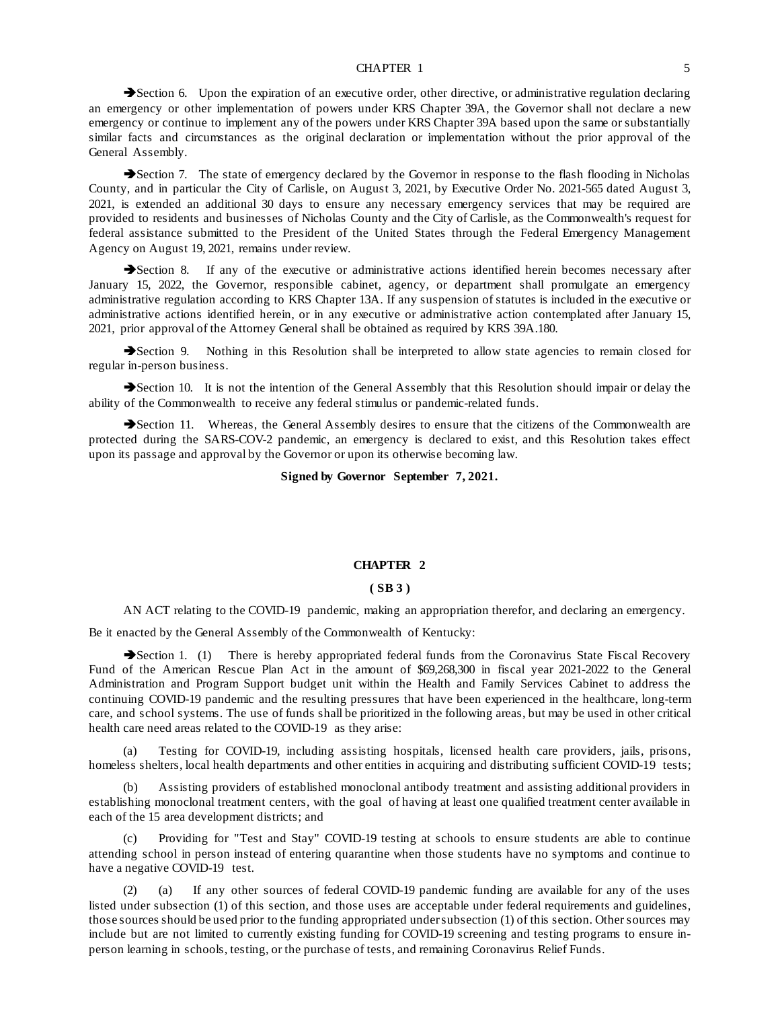#### CHAPTER 1 5

Section 6. Upon the expiration of an executive order, other directive, or administrative regulation declaring an emergency or other implementation of powers under KRS Chapter 39A, the Governor shall not declare a new emergency or continue to implement any of the powers under KRS Chapter 39A based upon the same or substantially similar facts and circumstances as the original declaration or implementation without the prior approval of the General Assembly.

Section 7. The state of emergency declared by the Governor in response to the flash flooding in Nicholas County, and in particular the City of Carlisle, on August 3, 2021, by Executive Order No. 2021-565 dated August 3, 2021, is extended an additional 30 days to ensure any necessary emergency services that may be required are provided to residents and businesses of Nicholas County and the City of Carlisle, as the Commonwealth's request for federal assistance submitted to the President of the United States through the Federal Emergency Management Agency on August 19, 2021, remains under review.

Section 8. If any of the executive or administrative actions identified herein becomes necessary after January 15, 2022, the Governor, responsible cabinet, agency, or department shall promulgate an emergency administrative regulation according to KRS Chapter 13A. If any suspension of statutes is included in the executive or administrative actions identified herein, or in any executive or administrative action contemplated after January 15, 2021, prior approval of the Attorney General shall be obtained as required by KRS 39A.180.

Section 9. Nothing in this Resolution shall be interpreted to allow state agencies to remain closed for regular in-person business.

Section 10. It is not the intention of the General Assembly that this Resolution should impair or delay the ability of the Commonwealth to receive any federal stimulus or pandemic-related funds.

Section 11. Whereas, the General Assembly desires to ensure that the citizens of the Commonwealth are protected during the SARS-COV-2 pandemic, an emergency is declared to exist, and this Resolution takes effect upon its passage and approval by the Governor or upon its otherwise becoming law.

**Signed by Governor September 7, 2021.**

### **CHAPTER 2**

## **( SB 3 )**

AN ACT relating to the COVID-19 pandemic, making an appropriation therefor, and declaring an emergency.

Be it enacted by the General Assembly of the Commonwealth of Kentucky:

Section 1. (1) There is hereby appropriated federal funds from the Coronavirus State Fiscal Recovery Fund of the American Rescue Plan Act in the amount of \$69,268,300 in fiscal year 2021-2022 to the General Administration and Program Support budget unit within the Health and Family Services Cabinet to address the continuing COVID-19 pandemic and the resulting pressures that have been experienced in the healthcare, long-term care, and school systems. The use of funds shall be prioritized in the following areas, but may be used in other critical health care need areas related to the COVID-19 as they arise:

Testing for COVID-19, including assisting hospitals, licensed health care providers, jails, prisons, homeless shelters, local health departments and other entities in acquiring and distributing sufficient COVID-19 tests;

(b) Assisting providers of established monoclonal antibody treatment and assisting additional providers in establishing monoclonal treatment centers, with the goal of having at least one qualified treatment center available in each of the 15 area development districts; and

(c) Providing for "Test and Stay" COVID-19 testing at schools to ensure students are able to continue attending school in person instead of entering quarantine when those students have no symptoms and continue to have a negative COVID-19 test.

(2) (a) If any other sources of federal COVID-19 pandemic funding are available for any of the uses listed under subsection (1) of this section, and those uses are acceptable under federal requirements and guidelines, those sources should be used prior to the funding appropriated under subsection (1) of this section. Other sources may include but are not limited to currently existing funding for COVID-19 screening and testing programs to ensure inperson learning in schools, testing, or the purchase of tests, and remaining Coronavirus Relief Funds.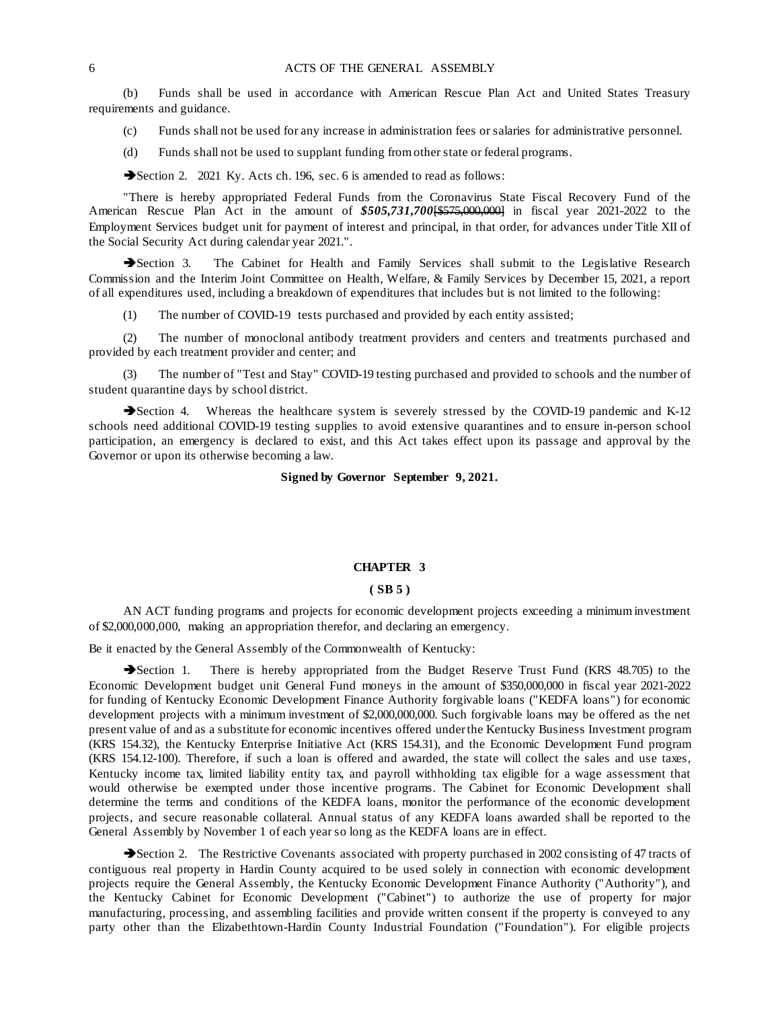(b) Funds shall be used in accordance with American Rescue Plan Act and United States Treasury requirements and guidance.

- (c) Funds shall not be used for any increase in administration fees or salaries for administrative personnel.
- (d) Funds shall not be used to supplant funding from other state or federal programs.

Section 2. 2021 Ky. Acts ch. 196, sec. 6 is amended to read as follows:

"There is hereby appropriated Federal Funds from the Coronavirus State Fiscal Recovery Fund of the American Rescue Plan Act in the amount of *\$505,731,700*[\$575,000,000] in fiscal year 2021-2022 to the Employment Services budget unit for payment of interest and principal, in that order, for advances under Title XII of the Social Security Act during calendar year 2021.".

Section 3. The Cabinet for Health and Family Services shall submit to the Legislative Research Commission and the Interim Joint Committee on Health, Welfare, & Family Services by December 15, 2021, a report of all expenditures used, including a breakdown of expenditures that includes but is not limited to the following:

(1) The number of COVID-19 tests purchased and provided by each entity assisted;

(2) The number of monoclonal antibody treatment providers and centers and treatments purchased and provided by each treatment provider and center; and

The number of "Test and Stay" COVID-19 testing purchased and provided to schools and the number of student quarantine days by school district.

Section 4. Whereas the healthcare system is severely stressed by the COVID-19 pandemic and K-12 schools need additional COVID-19 testing supplies to avoid extensive quarantines and to ensure in-person school participation, an emergency is declared to exist, and this Act takes effect upon its passage and approval by the Governor or upon its otherwise becoming a law.

## **Signed by Governor September 9, 2021.**

## **CHAPTER 3**

## **( SB 5 )**

AN ACT funding programs and projects for economic development projects exceeding a minimum investment of \$2,000,000,000, making an appropriation therefor, and declaring an emergency.

Be it enacted by the General Assembly of the Commonwealth of Kentucky:

Section 1. There is hereby appropriated from the Budget Reserve Trust Fund (KRS 48.705) to the Economic Development budget unit General Fund moneys in the amount of \$350,000,000 in fiscal year 2021-2022 for funding of Kentucky Economic Development Finance Authority forgivable loans ("KEDFA loans") for economic development projects with a minimum investment of \$2,000,000,000. Such forgivable loans may be offered as the net present value of and as a substitute for economic incentives offered under the Kentucky Business Investment program (KRS 154.32), the Kentucky Enterprise Initiative Act (KRS 154.31), and the Economic Development Fund program (KRS 154.12-100). Therefore, if such a loan is offered and awarded, the state will collect the sales and use taxes, Kentucky income tax, limited liability entity tax, and payroll withholding tax eligible for a wage assessment that would otherwise be exempted under those incentive programs. The Cabinet for Economic Development shall determine the terms and conditions of the KEDFA loans, monitor the performance of the economic development projects, and secure reasonable collateral. Annual status of any KEDFA loans awarded shall be reported to the General Assembly by November 1 of each year so long as the KEDFA loans are in effect.

Section 2. The Restrictive Covenants associated with property purchased in 2002 consisting of 47 tracts of contiguous real property in Hardin County acquired to be used solely in connection with economic development projects require the General Assembly, the Kentucky Economic Development Finance Authority ("Authority"), and the Kentucky Cabinet for Economic Development ("Cabinet") to authorize the use of property for major manufacturing, processing, and assembling facilities and provide written consent if the property is conveyed to any party other than the Elizabethtown-Hardin County Industrial Foundation ("Foundation"). For eligible projects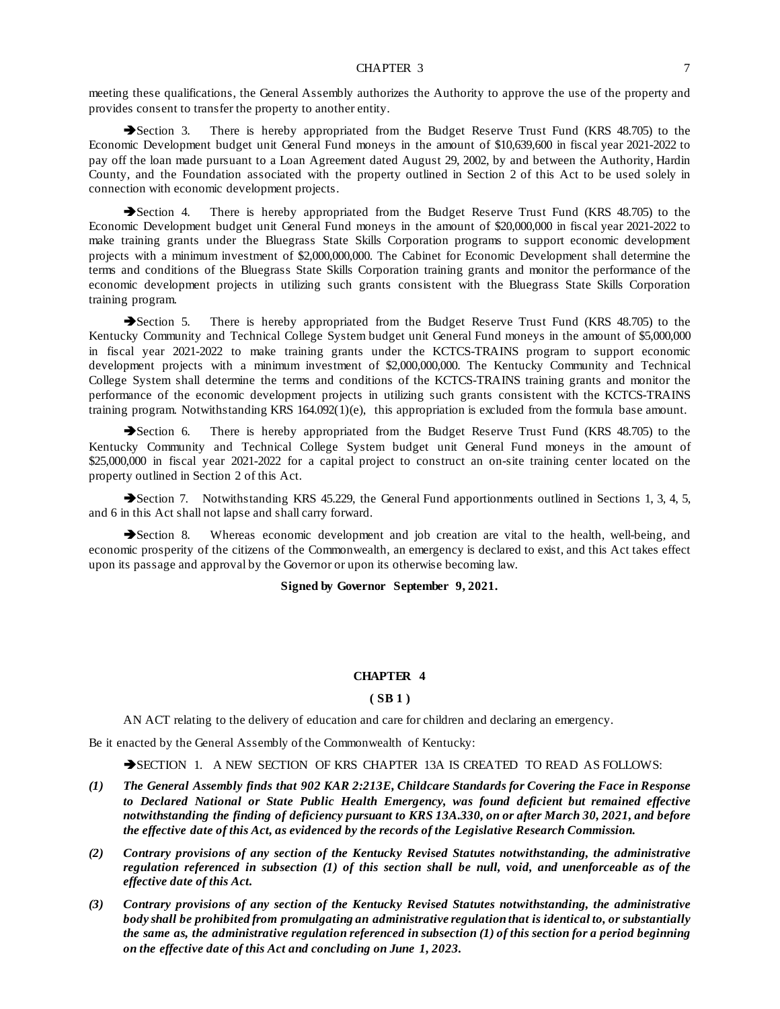#### CHAPTER 3 7

meeting these qualifications, the General Assembly authorizes the Authority to approve the use of the property and provides consent to transfer the property to another entity.

Section 3. There is hereby appropriated from the Budget Reserve Trust Fund (KRS 48.705) to the Economic Development budget unit General Fund moneys in the amount of \$10,639,600 in fiscal year 2021-2022 to pay off the loan made pursuant to a Loan Agreement dated August 29, 2002, by and between the Authority, Hardin County, and the Foundation associated with the property outlined in Section 2 of this Act to be used solely in connection with economic development projects.

Section 4. There is hereby appropriated from the Budget Reserve Trust Fund (KRS 48.705) to the Economic Development budget unit General Fund moneys in the amount of \$20,000,000 in fiscal year 2021-2022 to make training grants under the Bluegrass State Skills Corporation programs to support economic development projects with a minimum investment of \$2,000,000,000. The Cabinet for Economic Development shall determine the terms and conditions of the Bluegrass State Skills Corporation training grants and monitor the performance of the economic development projects in utilizing such grants consistent with the Bluegrass State Skills Corporation training program.

Section 5. There is hereby appropriated from the Budget Reserve Trust Fund (KRS 48.705) to the Kentucky Community and Technical College System budget unit General Fund moneys in the amount of \$5,000,000 in fiscal year 2021-2022 to make training grants under the KCTCS-TRAINS program to support economic development projects with a minimum investment of \$2,000,000,000. The Kentucky Community and Technical College System shall determine the terms and conditions of the KCTCS-TRAINS training grants and monitor the performance of the economic development projects in utilizing such grants consistent with the KCTCS-TRAINS training program. Notwithstanding KRS 164.092(1)(e), this appropriation is excluded from the formula base amount.

Section 6. There is hereby appropriated from the Budget Reserve Trust Fund (KRS 48.705) to the Kentucky Community and Technical College System budget unit General Fund moneys in the amount of \$25,000,000 in fiscal year 2021-2022 for a capital project to construct an on-site training center located on the property outlined in Section 2 of this Act.

Section 7. Notwithstanding KRS 45.229, the General Fund apportionments outlined in Sections 1, 3, 4, 5, and 6 in this Act shall not lapse and shall carry forward.

Section 8. Whereas economic development and job creation are vital to the health, well-being, and economic prosperity of the citizens of the Commonwealth, an emergency is declared to exist, and this Act takes effect upon its passage and approval by the Governor or upon its otherwise becoming law.

## **Signed by Governor September 9, 2021.**

## **CHAPTER 4**

## **( SB 1 )**

AN ACT relating to the delivery of education and care for children and declaring an emergency.

Be it enacted by the General Assembly of the Commonwealth of Kentucky:

SECTION 1. A NEW SECTION OF KRS CHAPTER 13A IS CREATED TO READ AS FOLLOWS:

- *(1) The General Assembly finds that 902 KAR 2:213E, Childcare Standards for Covering the Face in Response to Declared National or State Public Health Emergency, was found deficient but remained effective notwithstanding the finding of deficiency pursuant to KRS 13A.330, on or after March 30, 2021, and before the effective date of this Act, as evidenced by the records of the Legislative Research Commission.*
- *(2) Contrary provisions of any section of the Kentucky Revised Statutes notwithstanding, the administrative regulation referenced in subsection (1) of this section shall be null, void, and unenforceable as of the effective date of this Act.*
- *(3) Contrary provisions of any section of the Kentucky Revised Statutes notwithstanding, the administrative body shall be prohibited from promulgating an administrative regulation that is identical to, or substantially the same as, the administrative regulation referenced in subsection (1) of this section for a period beginning on the effective date of this Act and concluding on June 1, 2023.*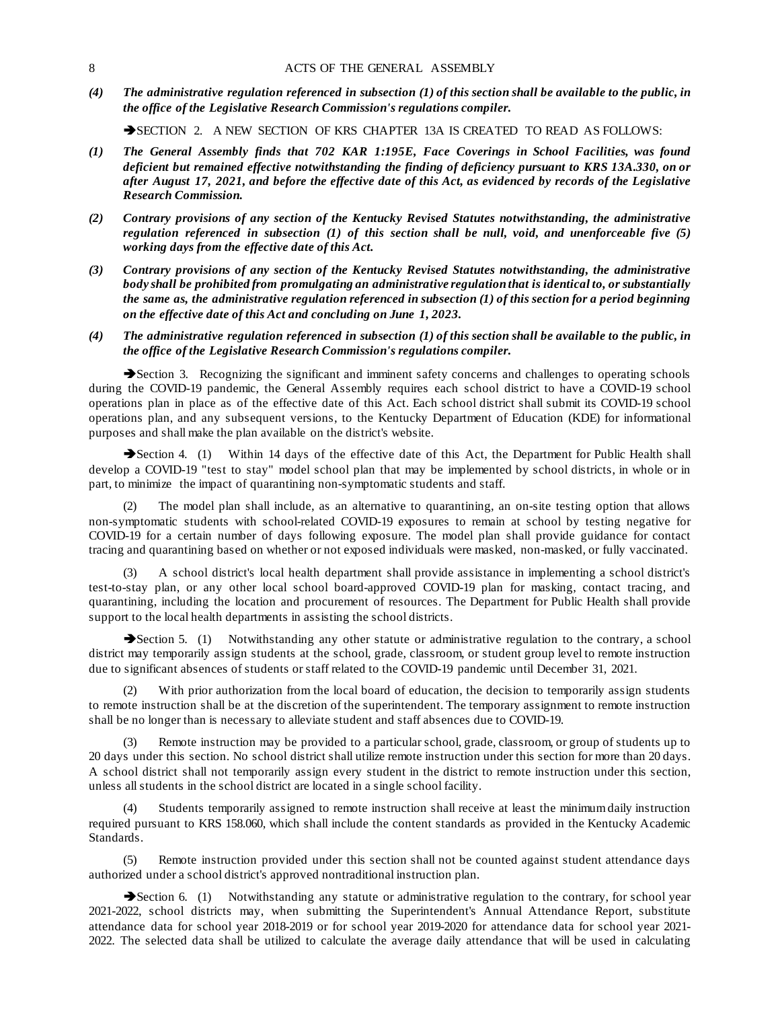*(4) The administrative regulation referenced in subsection (1) of this section shall be available to the public, in the office of the Legislative Research Commission's regulations compiler.*

SECTION 2. A NEW SECTION OF KRS CHAPTER 13A IS CREATED TO READ AS FOLLOWS:

- *(1) The General Assembly finds that 702 KAR 1:195E, Face Coverings in School Facilities, was found deficient but remained effective notwithstanding the finding of deficiency pursuant to KRS 13A.330, on or after August 17, 2021, and before the effective date of this Act, as evidenced by records of the Legislative Research Commission.*
- *(2) Contrary provisions of any section of the Kentucky Revised Statutes notwithstanding, the administrative regulation referenced in subsection (1) of this section shall be null, void, and unenforceable five (5) working days from the effective date of this Act.*
- *(3) Contrary provisions of any section of the Kentucky Revised Statutes notwithstanding, the administrative body shall be prohibited from promulgating an administrative regulation that is identical to, or substantially the same as, the administrative regulation referenced in subsection (1) of this section for a period beginning on the effective date of this Act and concluding on June 1, 2023.*
- *(4) The administrative regulation referenced in subsection (1) of this section shall be available to the public, in the office of the Legislative Research Commission's regulations compiler.*

Section 3. Recognizing the significant and imminent safety concerns and challenges to operating schools during the COVID-19 pandemic, the General Assembly requires each school district to have a COVID-19 school operations plan in place as of the effective date of this Act. Each school district shall submit its COVID-19 school operations plan, and any subsequent versions, to the Kentucky Department of Education (KDE) for informational purposes and shall make the plan available on the district's website.

Section 4. (1) Within 14 days of the effective date of this Act, the Department for Public Health shall develop a COVID-19 "test to stay" model school plan that may be implemented by school districts, in whole or in part, to minimize the impact of quarantining non-symptomatic students and staff.

The model plan shall include, as an alternative to quarantining, an on-site testing option that allows non-symptomatic students with school-related COVID-19 exposures to remain at school by testing negative for COVID-19 for a certain number of days following exposure. The model plan shall provide guidance for contact tracing and quarantining based on whether or not exposed individuals were masked, non-masked, or fully vaccinated.

(3) A school district's local health department shall provide assistance in implementing a school district's test-to-stay plan, or any other local school board-approved COVID-19 plan for masking, contact tracing, and quarantining, including the location and procurement of resources. The Department for Public Health shall provide support to the local health departments in assisting the school districts.

Section 5. (1) Notwithstanding any other statute or administrative regulation to the contrary, a school district may temporarily assign students at the school, grade, classroom, or student group level to remote instruction due to significant absences of students or staff related to the COVID-19 pandemic until December 31, 2021.

With prior authorization from the local board of education, the decision to temporarily assign students to remote instruction shall be at the discretion of the superintendent. The temporary assignment to remote instruction shall be no longer than is necessary to alleviate student and staff absences due to COVID-19.

(3) Remote instruction may be provided to a particular school, grade, classroom, or group of students up to 20 days under this section. No school district shall utilize remote instruction under this section for more than 20 days. A school district shall not temporarily assign every student in the district to remote instruction under this section, unless all students in the school district are located in a single school facility.

Students temporarily assigned to remote instruction shall receive at least the minimum daily instruction required pursuant to KRS 158.060, which shall include the content standards as provided in the Kentucky Academic Standards.

Remote instruction provided under this section shall not be counted against student attendance days authorized under a school district's approved nontraditional instruction plan.

Section 6. (1) Notwithstanding any statute or administrative regulation to the contrary, for school year 2021-2022, school districts may, when submitting the Superintendent's Annual Attendance Report, substitute attendance data for school year 2018-2019 or for school year 2019-2020 for attendance data for school year 2021- 2022. The selected data shall be utilized to calculate the average daily attendance that will be used in calculating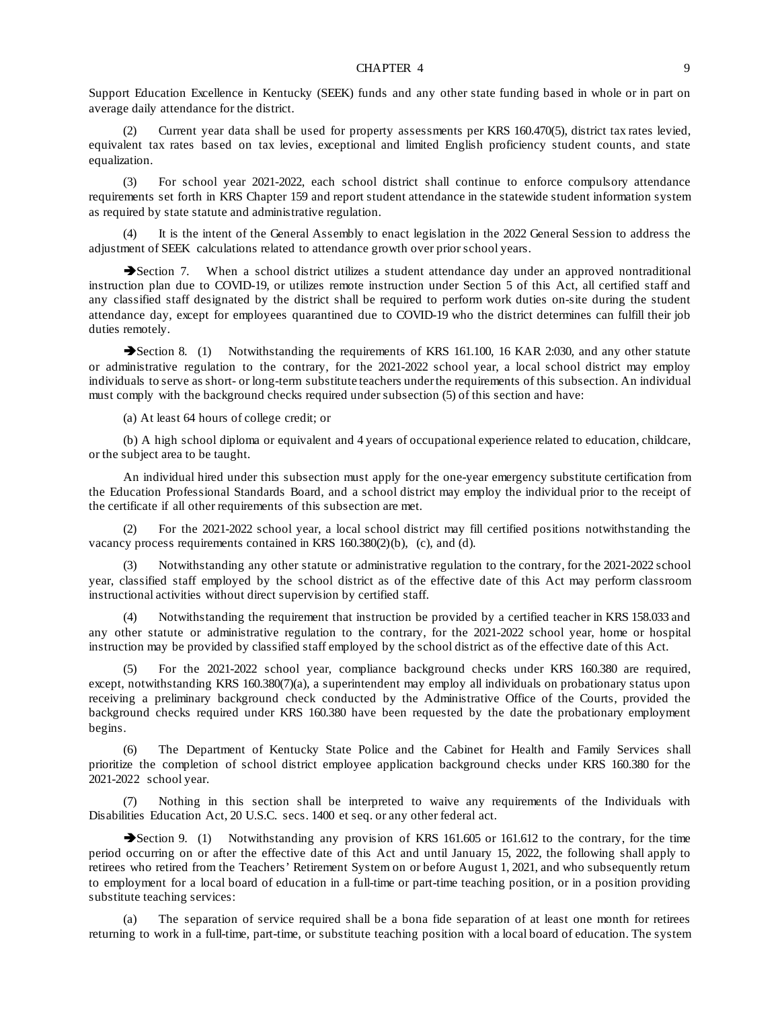Support Education Excellence in Kentucky (SEEK) funds and any other state funding based in whole or in part on average daily attendance for the district.

(2) Current year data shall be used for property assessments per KRS 160.470(5), district tax rates levied, equivalent tax rates based on tax levies, exceptional and limited English proficiency student counts, and state equalization.

(3) For school year 2021-2022, each school district shall continue to enforce compulsory attendance requirements set forth in KRS Chapter 159 and report student attendance in the statewide student information system as required by state statute and administrative regulation.

It is the intent of the General Assembly to enact legislation in the 2022 General Session to address the adjustment of SEEK calculations related to attendance growth over prior school years.

Section 7. When a school district utilizes a student attendance day under an approved nontraditional instruction plan due to COVID-19, or utilizes remote instruction under Section 5 of this Act, all certified staff and any classified staff designated by the district shall be required to perform work duties on-site during the student attendance day, except for employees quarantined due to COVID-19 who the district determines can fulfill their job duties remotely.

Section 8. (1) Notwithstanding the requirements of KRS 161.100, 16 KAR 2:030, and any other statute or administrative regulation to the contrary, for the 2021-2022 school year, a local school district may employ individuals to serve as short- or long-term substitute teachers under the requirements of this subsection. An individual must comply with the background checks required under subsection (5) of this section and have:

(a) At least 64 hours of college credit; or

(b) A high school diploma or equivalent and 4 years of occupational experience related to education, childcare, or the subject area to be taught.

An individual hired under this subsection must apply for the one-year emergency substitute certification from the Education Professional Standards Board, and a school district may employ the individual prior to the receipt of the certificate if all other requirements of this subsection are met.

For the 2021-2022 school year, a local school district may fill certified positions notwithstanding the vacancy process requirements contained in KRS 160.380(2)(b), (c), and (d).

(3) Notwithstanding any other statute or administrative regulation to the contrary, for the 2021-2022 school year, classified staff employed by the school district as of the effective date of this Act may perform classroom instructional activities without direct supervision by certified staff.

Notwithstanding the requirement that instruction be provided by a certified teacher in KRS 158.033 and any other statute or administrative regulation to the contrary, for the 2021-2022 school year, home or hospital instruction may be provided by classified staff employed by the school district as of the effective date of this Act.

(5) For the 2021-2022 school year, compliance background checks under KRS 160.380 are required, except, notwithstanding KRS 160.380(7)(a), a superintendent may employ all individuals on probationary status upon receiving a preliminary background check conducted by the Administrative Office of the Courts, provided the background checks required under KRS 160.380 have been requested by the date the probationary employment begins.

(6) The Department of Kentucky State Police and the Cabinet for Health and Family Services shall prioritize the completion of school district employee application background checks under KRS 160.380 for the 2021-2022 school year.

(7) Nothing in this section shall be interpreted to waive any requirements of the Individuals with Disabilities Education Act, 20 U.S.C. secs. 1400 et seq. or any other federal act.

Section 9. (1) Notwithstanding any provision of KRS 161.605 or 161.612 to the contrary, for the time period occurring on or after the effective date of this Act and until January 15, 2022, the following shall apply to retirees who retired from the Teachers' Retirement System on or before August 1, 2021, and who subsequently return to employment for a local board of education in a full-time or part-time teaching position, or in a position providing substitute teaching services:

(a) The separation of service required shall be a bona fide separation of at least one month for retirees returning to work in a full-time, part-time, or substitute teaching position with a local board of education. The system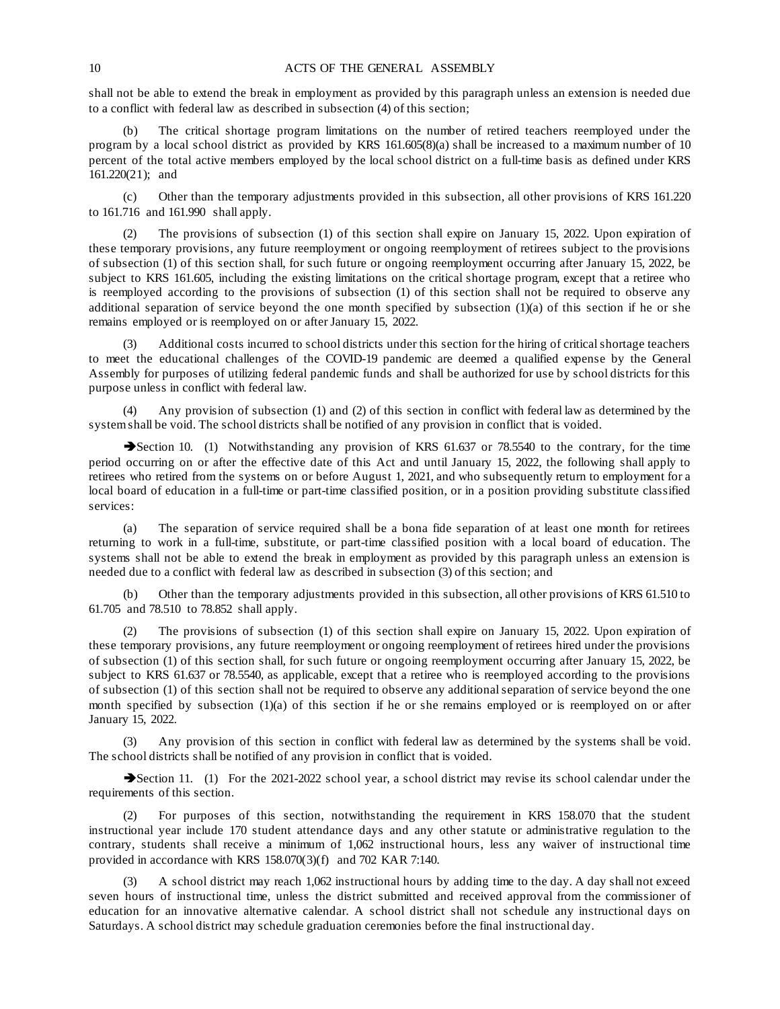### 10 **ACTS OF THE GENERAL ASSEMBLY**

shall not be able to extend the break in employment as provided by this paragraph unless an extension is needed due to a conflict with federal law as described in subsection (4) of this section;

The critical shortage program limitations on the number of retired teachers reemployed under the program by a local school district as provided by KRS 161.605(8)(a) shall be increased to a maximum number of 10 percent of the total active members employed by the local school district on a full-time basis as defined under KRS 161.220(21); and

(c) Other than the temporary adjustments provided in this subsection, all other provisions of KRS 161.220 to 161.716 and 161.990 shall apply.

The provisions of subsection (1) of this section shall expire on January 15, 2022. Upon expiration of these temporary provisions, any future reemployment or ongoing reemployment of retirees subject to the provisions of subsection (1) of this section shall, for such future or ongoing reemployment occurring after January 15, 2022, be subject to KRS 161.605, including the existing limitations on the critical shortage program, except that a retiree who is reemployed according to the provisions of subsection (1) of this section shall not be required to observe any additional separation of service beyond the one month specified by subsection (1)(a) of this section if he or she remains employed or is reemployed on or after January 15, 2022.

(3) Additional costs incurred to school districts under this section for the hiring of critical shortage teachers to meet the educational challenges of the COVID-19 pandemic are deemed a qualified expense by the General Assembly for purposes of utilizing federal pandemic funds and shall be authorized for use by school districts for this purpose unless in conflict with federal law.

(4) Any provision of subsection (1) and (2) of this section in conflict with federal law as determined by the system shall be void. The school districts shall be notified of any provision in conflict that is voided.

Section 10. (1) Notwithstanding any provision of KRS 61.637 or 78.5540 to the contrary, for the time period occurring on or after the effective date of this Act and until January 15, 2022, the following shall apply to retirees who retired from the systems on or before August 1, 2021, and who subsequently return to employment for a local board of education in a full-time or part-time classified position, or in a position providing substitute classified services:

(a) The separation of service required shall be a bona fide separation of at least one month for retirees returning to work in a full-time, substitute, or part-time classified position with a local board of education. The systems shall not be able to extend the break in employment as provided by this paragraph unless an extension is needed due to a conflict with federal law as described in subsection (3) of this section; and

(b) Other than the temporary adjustments provided in this subsection, all other provisions of KRS 61.510 to 61.705 and 78.510 to 78.852 shall apply.

The provisions of subsection (1) of this section shall expire on January 15, 2022. Upon expiration of these temporary provisions, any future reemployment or ongoing reemployment of retirees hired under the provisions of subsection (1) of this section shall, for such future or ongoing reemployment occurring after January 15, 2022, be subject to KRS 61.637 or 78.5540, as applicable, except that a retiree who is reemployed according to the provisions of subsection (1) of this section shall not be required to observe any additional separation of service beyond the one month specified by subsection (1)(a) of this section if he or she remains employed or is reemployed on or after January 15, 2022.

(3) Any provision of this section in conflict with federal law as determined by the systems shall be void. The school districts shall be notified of any provision in conflict that is voided.

Section 11. (1) For the 2021-2022 school year, a school district may revise its school calendar under the requirements of this section.

(2) For purposes of this section, notwithstanding the requirement in KRS 158.070 that the student instructional year include 170 student attendance days and any other statute or administrative regulation to the contrary, students shall receive a minimum of 1,062 instructional hours, less any waiver of instructional time provided in accordance with KRS 158.070(3)(f) and 702 KAR 7:140.

(3) A school district may reach 1,062 instructional hours by adding time to the day. A day shall not exceed seven hours of instructional time, unless the district submitted and received approval from the commissioner of education for an innovative alternative calendar. A school district shall not schedule any instructional days on Saturdays. A school district may schedule graduation ceremonies before the final instructional day.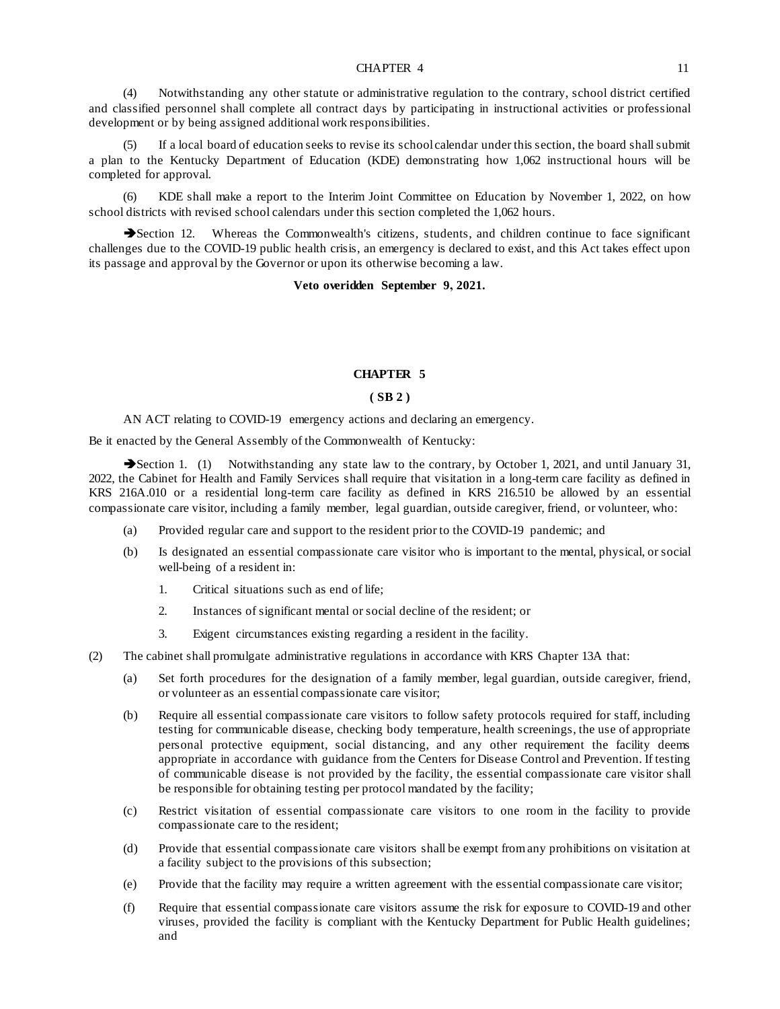#### CHAPTER 4 11

(4) Notwithstanding any other statute or administrative regulation to the contrary, school district certified and classified personnel shall complete all contract days by participating in instructional activities or professional development or by being assigned additional work responsibilities.

If a local board of education seeks to revise its school calendar under this section, the board shall submit a plan to the Kentucky Department of Education (KDE) demonstrating how 1,062 instructional hours will be completed for approval.

(6) KDE shall make a report to the Interim Joint Committee on Education by November 1, 2022, on how school districts with revised school calendars under this section completed the 1,062 hours.

Section 12. Whereas the Commonwealth's citizens, students, and children continue to face significant challenges due to the COVID-19 public health crisis, an emergency is declared to exist, and this Act takes effect upon its passage and approval by the Governor or upon its otherwise becoming a law.

**Veto overidden September 9, 2021.** 

## **CHAPTER 5**

## **( SB 2 )**

AN ACT relating to COVID-19 emergency actions and declaring an emergency.

Be it enacted by the General Assembly of the Commonwealth of Kentucky:

Section 1. (1) Notwithstanding any state law to the contrary, by October 1, 2021, and until January 31, 2022, the Cabinet for Health and Family Services shall require that visitation in a long-term care facility as defined in KRS 216A.010 or a residential long-term care facility as defined in KRS 216.510 be allowed by an essential compassionate care visitor, including a family member, legal guardian, outside caregiver, friend, or volunteer, who:

- (a) Provided regular care and support to the resident prior to the COVID-19 pandemic; and
- (b) Is designated an essential compassionate care visitor who is important to the mental, physical, or social well-being of a resident in:
	- 1. Critical situations such as end of life;
	- 2. Instances of significant mental or social decline of the resident; or
	- 3. Exigent circumstances existing regarding a resident in the facility.
- (2) The cabinet shall promulgate administrative regulations in accordance with KRS Chapter 13A that:
	- (a) Set forth procedures for the designation of a family member, legal guardian, outside caregiver, friend, or volunteer as an essential compassionate care visitor;
	- (b) Require all essential compassionate care visitors to follow safety protocols required for staff, including testing for communicable disease, checking body temperature, health screenings, the use of appropriate personal protective equipment, social distancing, and any other requirement the facility deems appropriate in accordance with guidance from the Centers for Disease Control and Prevention. If testing of communicable disease is not provided by the facility, the essential compassionate care visitor shall be responsible for obtaining testing per protocol mandated by the facility;
	- (c) Restrict visitation of essential compassionate care visitors to one room in the facility to provide compassionate care to the resident;
	- (d) Provide that essential compassionate care visitors shall be exempt from any prohibitions on visitation at a facility subject to the provisions of this subsection;
	- (e) Provide that the facility may require a written agreement with the essential compassionate care visitor;
	- (f) Require that essential compassionate care visitors assume the risk for exposure to COVID-19 and other viruses, provided the facility is compliant with the Kentucky Department for Public Health guidelines; and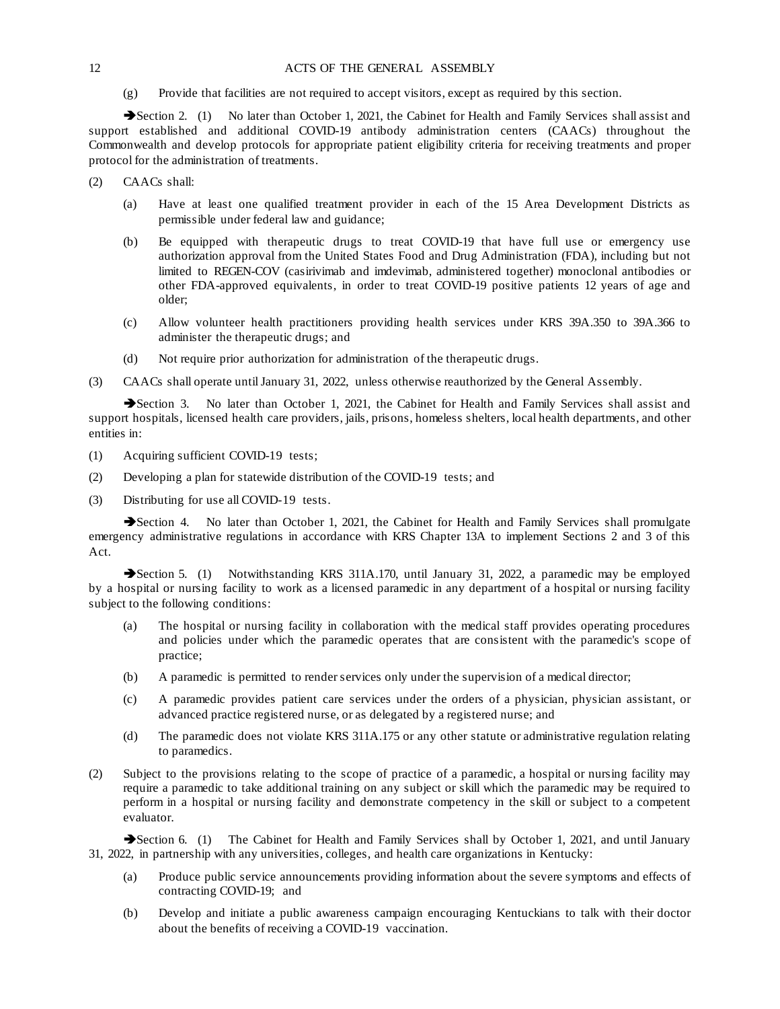### 12 **ACTS OF THE GENERAL ASSEMBLY**

(g) Provide that facilities are not required to accept visitors, except as required by this section.

Section 2. (1) No later than October 1, 2021, the Cabinet for Health and Family Services shall assist and support established and additional COVID-19 antibody administration centers (CAACs) throughout the Commonwealth and develop protocols for appropriate patient eligibility criteria for receiving treatments and proper protocol for the administration of treatments.

- (2) CAACs shall:
	- (a) Have at least one qualified treatment provider in each of the 15 Area Development Districts as permissible under federal law and guidance;
	- (b) Be equipped with therapeutic drugs to treat COVID-19 that have full use or emergency use authorization approval from the United States Food and Drug Administration (FDA), including but not limited to REGEN-COV (casirivimab and imdevimab, administered together) monoclonal antibodies or other FDA-approved equivalents, in order to treat COVID-19 positive patients 12 years of age and older;
	- (c) Allow volunteer health practitioners providing health services under KRS 39A.350 to 39A.366 to administer the therapeutic drugs; and
	- (d) Not require prior authorization for administration of the therapeutic drugs.
- (3) CAACs shall operate until January 31, 2022, unless otherwise reauthorized by the General Assembly.

Section 3. No later than October 1, 2021, the Cabinet for Health and Family Services shall assist and support hospitals, licensed health care providers, jails, prisons, homeless shelters, local health departments, and other entities in:

- (1) Acquiring sufficient COVID-19 tests;
- (2) Developing a plan for statewide distribution of the COVID-19 tests; and
- (3) Distributing for use all COVID-19 tests.

Section 4. No later than October 1, 2021, the Cabinet for Health and Family Services shall promulgate emergency administrative regulations in accordance with KRS Chapter 13A to implement Sections 2 and 3 of this Act.

Section 5. (1) Notwithstanding KRS 311A.170, until January 31, 2022, a paramedic may be employed by a hospital or nursing facility to work as a licensed paramedic in any department of a hospital or nursing facility subject to the following conditions:

- (a) The hospital or nursing facility in collaboration with the medical staff provides operating procedures and policies under which the paramedic operates that are consistent with the paramedic's scope of practice;
- (b) A paramedic is permitted to render services only under the supervision of a medical director;
- (c) A paramedic provides patient care services under the orders of a physician, physician assistant, or advanced practice registered nurse, or as delegated by a registered nurse; and
- (d) The paramedic does not violate KRS 311A.175 or any other statute or administrative regulation relating to paramedics.
- (2) Subject to the provisions relating to the scope of practice of a paramedic, a hospital or nursing facility may require a paramedic to take additional training on any subject or skill which the paramedic may be required to perform in a hospital or nursing facility and demonstrate competency in the skill or subject to a competent evaluator.

Section 6. (1) The Cabinet for Health and Family Services shall by October 1, 2021, and until January 31, 2022, in partnership with any universities, colleges, and health care organizations in Kentucky:

- (a) Produce public service announcements providing information about the severe symptoms and effects of contracting COVID-19; and
- (b) Develop and initiate a public awareness campaign encouraging Kentuckians to talk with their doctor about the benefits of receiving a COVID-19 vaccination.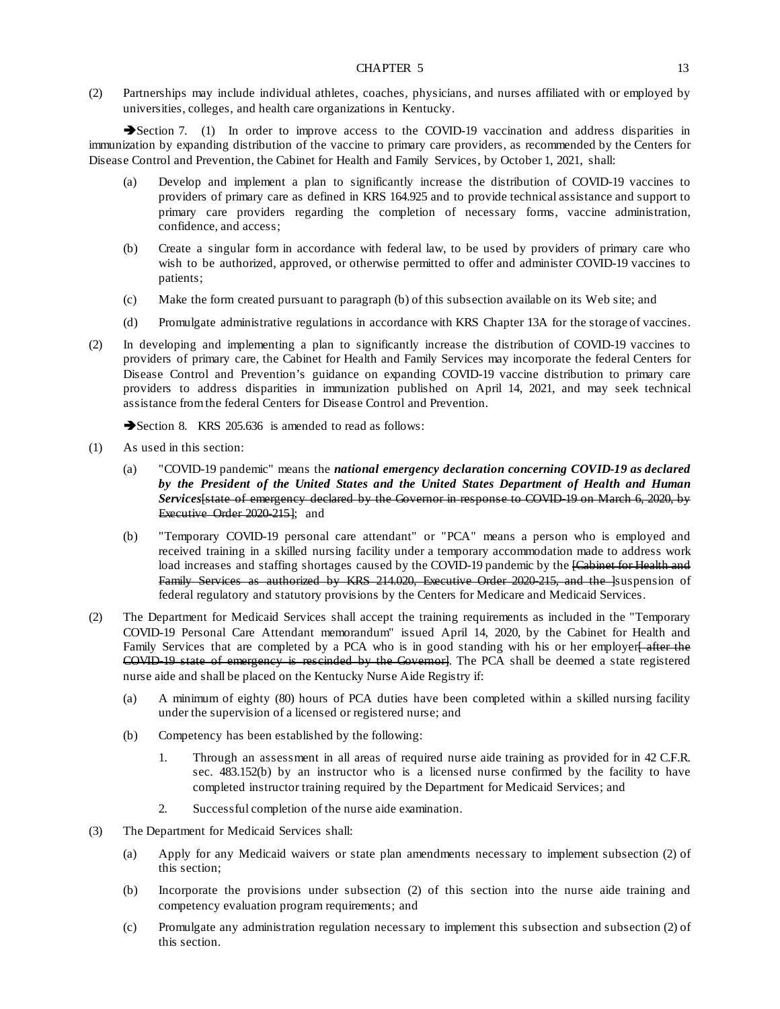#### CHAPTER 5 13

(2) Partnerships may include individual athletes, coaches, physicians, and nurses affiliated with or employed by universities, colleges, and health care organizations in Kentucky.

Section 7. (1) In order to improve access to the COVID-19 vaccination and address disparities in immunization by expanding distribution of the vaccine to primary care providers, as recommended by the Centers for Disease Control and Prevention, the Cabinet for Health and Family Services, by October 1, 2021, shall:

- (a) Develop and implement a plan to significantly increase the distribution of COVID-19 vaccines to providers of primary care as defined in KRS 164.925 and to provide technical assistance and support to primary care providers regarding the completion of necessary forms, vaccine administration, confidence, and access;
- (b) Create a singular form in accordance with federal law, to be used by providers of primary care who wish to be authorized, approved, or otherwise permitted to offer and administer COVID-19 vaccines to patients;
- (c) Make the form created pursuant to paragraph (b) of this subsection available on its Web site; and
- (d) Promulgate administrative regulations in accordance with KRS Chapter 13A for the storage of vaccines.
- (2) In developing and implementing a plan to significantly increase the distribution of COVID-19 vaccines to providers of primary care, the Cabinet for Health and Family Services may incorporate the federal Centers for Disease Control and Prevention's guidance on expanding COVID-19 vaccine distribution to primary care providers to address disparities in immunization published on April 14, 2021, and may seek technical assistance from the federal Centers for Disease Control and Prevention.

Section 8. KRS 205.636 is amended to read as follows:

- (1) As used in this section:
	- (a) "COVID-19 pandemic" means the *national emergency declaration concerning COVID-19 as declared by the President of the United States and the United States Department of Health and Human Services*[state of emergency declared by the Governor in response to COVID-19 on March 6, 2020, by Executive Order 2020-215]; and
	- (b) "Temporary COVID-19 personal care attendant" or "PCA" means a person who is employed and received training in a skilled nursing facility under a temporary accommodation made to address work load increases and staffing shortages caused by the COVID-19 pandemic by the **[Cabinet for Health and** Family Services as authorized by KRS 214.020, Executive Order 2020-215, and the lsuspension of federal regulatory and statutory provisions by the Centers for Medicare and Medicaid Services.
- (2) The Department for Medicaid Services shall accept the training requirements as included in the "Temporary COVID-19 Personal Care Attendant memorandum" issued April 14, 2020, by the Cabinet for Health and Family Services that are completed by a PCA who is in good standing with his or her employer<del>[ after the</del> COVID-19 state of emergency is rescinded by the Governor]. The PCA shall be deemed a state registered nurse aide and shall be placed on the Kentucky Nurse Aide Registry if:
	- (a) A minimum of eighty (80) hours of PCA duties have been completed within a skilled nursing facility under the supervision of a licensed or registered nurse; and
	- (b) Competency has been established by the following:
		- 1. Through an assessment in all areas of required nurse aide training as provided for in 42 C.F.R. sec. 483.152(b) by an instructor who is a licensed nurse confirmed by the facility to have completed instructor training required by the Department for Medicaid Services; and
		- 2. Successful completion of the nurse aide examination.
- (3) The Department for Medicaid Services shall:
	- (a) Apply for any Medicaid waivers or state plan amendments necessary to implement subsection (2) of this section;
	- (b) Incorporate the provisions under subsection (2) of this section into the nurse aide training and competency evaluation program requirements; and
	- (c) Promulgate any administration regulation necessary to implement this subsection and subsection (2) of this section.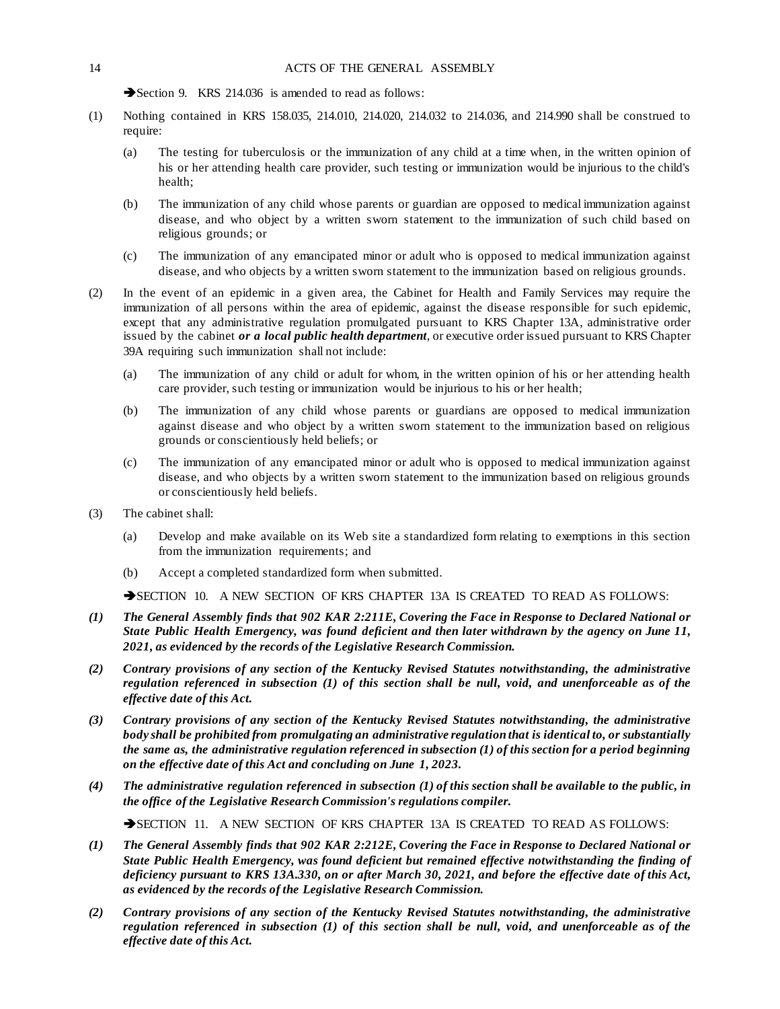Section 9. KRS 214.036 is amended to read as follows:

- (1) Nothing contained in KRS 158.035, 214.010, 214.020, 214.032 to 214.036, and 214.990 shall be construed to require:
	- (a) The testing for tuberculosis or the immunization of any child at a time when, in the written opinion of his or her attending health care provider, such testing or immunization would be injurious to the child's health;
	- (b) The immunization of any child whose parents or guardian are opposed to medical immunization against disease, and who object by a written sworn statement to the immunization of such child based on religious grounds; or
	- (c) The immunization of any emancipated minor or adult who is opposed to medical immunization against disease, and who objects by a written sworn statement to the immunization based on religious grounds.
- (2) In the event of an epidemic in a given area, the Cabinet for Health and Family Services may require the immunization of all persons within the area of epidemic, against the disease responsible for such epidemic, except that any administrative regulation promulgated pursuant to KRS Chapter 13A, administrative order issued by the cabinet *or a local public health department*, or executive order issued pursuant to KRS Chapter 39A requiring such immunization shall not include:
	- (a) The immunization of any child or adult for whom, in the written opinion of his or her attending health care provider, such testing or immunization would be injurious to his or her health;
	- (b) The immunization of any child whose parents or guardians are opposed to medical immunization against disease and who object by a written sworn statement to the immunization based on religious grounds or conscientiously held beliefs; or
	- (c) The immunization of any emancipated minor or adult who is opposed to medical immunization against disease, and who objects by a written sworn statement to the immunization based on religious grounds or conscientiously held beliefs.
- (3) The cabinet shall:
	- (a) Develop and make available on its Web site a standardized form relating to exemptions in this section from the immunization requirements; and
	- (b) Accept a completed standardized form when submitted.

SECTION 10. A NEW SECTION OF KRS CHAPTER 13A IS CREATED TO READ AS FOLLOWS:

- *(1) The General Assembly finds that 902 KAR 2:211E, Covering the Face in Response to Declared National or State Public Health Emergency, was found deficient and then later withdrawn by the agency on June 11, 2021, as evidenced by the records of the Legislative Research Commission.*
- *(2) Contrary provisions of any section of the Kentucky Revised Statutes notwithstanding, the administrative regulation referenced in subsection (1) of this section shall be null, void, and unenforceable as of the effective date of this Act.*
- *(3) Contrary provisions of any section of the Kentucky Revised Statutes notwithstanding, the administrative body shall be prohibited from promulgating an administrative regulation that is identical to, or substantially the same as, the administrative regulation referenced in subsection (1) of this section for a period beginning on the effective date of this Act and concluding on June 1, 2023.*
- *(4) The administrative regulation referenced in subsection (1) of this section shall be available to the public, in the office of the Legislative Research Commission's regulations compiler.*

SECTION 11. A NEW SECTION OF KRS CHAPTER 13A IS CREATED TO READ AS FOLLOWS:

- *(1) The General Assembly finds that 902 KAR 2:212E, Covering the Face in Response to Declared National or State Public Health Emergency, was found deficient but remained effective notwithstanding the finding of deficiency pursuant to KRS 13A.330, on or after March 30, 2021, and before the effective date of this Act, as evidenced by the records of the Legislative Research Commission.*
- *(2) Contrary provisions of any section of the Kentucky Revised Statutes notwithstanding, the administrative regulation referenced in subsection (1) of this section shall be null, void, and unenforceable as of the effective date of this Act.*